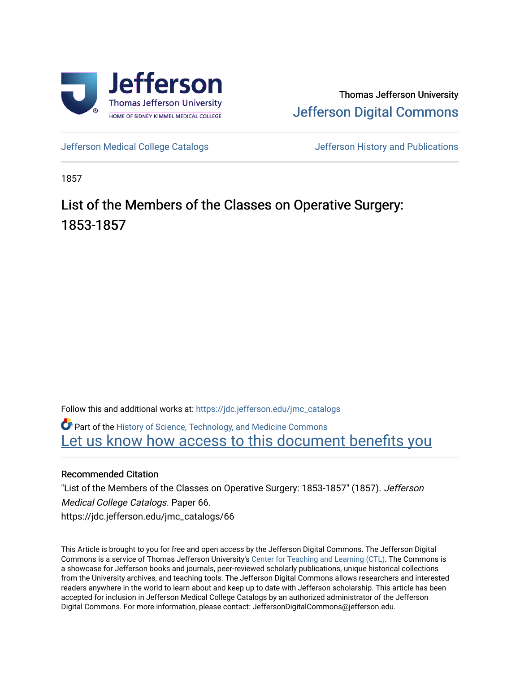

## Thomas Jefferson University [Jefferson Digital Commons](https://jdc.jefferson.edu/)

[Jefferson Medical College Catalogs](https://jdc.jefferson.edu/jmc_catalogs) [Jefferson History and Publications](https://jdc.jefferson.edu/jeffersonhistory) 

1857

## List of the Members of the Classes on Operative Surgery: 1853-1857

Follow this and additional works at: [https://jdc.jefferson.edu/jmc\\_catalogs](https://jdc.jefferson.edu/jmc_catalogs?utm_source=jdc.jefferson.edu%2Fjmc_catalogs%2F66&utm_medium=PDF&utm_campaign=PDFCoverPages) 

Part of the [History of Science, Technology, and Medicine Commons](http://network.bepress.com/hgg/discipline/500?utm_source=jdc.jefferson.edu%2Fjmc_catalogs%2F66&utm_medium=PDF&utm_campaign=PDFCoverPages)  Let us know how access to this document benefits you

## Recommended Citation

"List of the Members of the Classes on Operative Surgery: 1853-1857" (1857). Jefferson Medical College Catalogs. Paper 66. https://jdc.jefferson.edu/jmc\_catalogs/66

This Article is brought to you for free and open access by the Jefferson Digital Commons. The Jefferson Digital Commons is a service of Thomas Jefferson University's [Center for Teaching and Learning \(CTL\)](http://www.jefferson.edu/university/teaching-learning.html/). The Commons is a showcase for Jefferson books and journals, peer-reviewed scholarly publications, unique historical collections from the University archives, and teaching tools. The Jefferson Digital Commons allows researchers and interested readers anywhere in the world to learn about and keep up to date with Jefferson scholarship. This article has been accepted for inclusion in Jefferson Medical College Catalogs by an authorized administrator of the Jefferson Digital Commons. For more information, please contact: JeffersonDigitalCommons@jefferson.edu.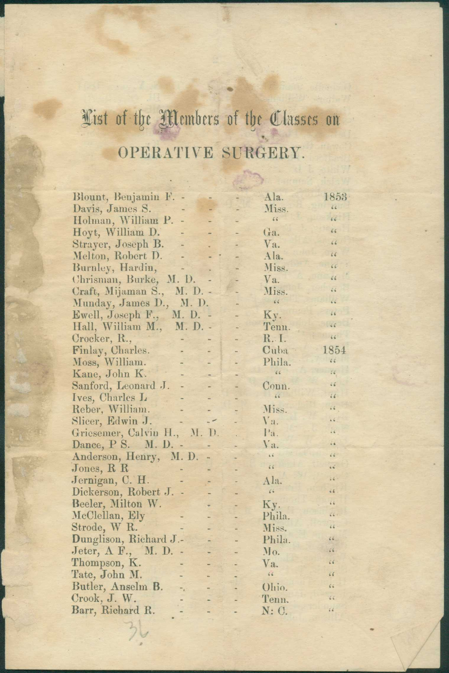## Cist of the Members of the Classes on OPERATIVE SURGERY.

| Blount, Benjamin F.<br>66<br>Miss.<br>Davis, James S.<br>66<br>Holman, William P.<br>66<br>66<br>Hoyt, William D.<br>Ga.<br>Strayer, Joseph B.<br>66<br>Va. |  |
|-------------------------------------------------------------------------------------------------------------------------------------------------------------|--|
|                                                                                                                                                             |  |
|                                                                                                                                                             |  |
|                                                                                                                                                             |  |
|                                                                                                                                                             |  |
| 66<br>Melton, Robert D.<br>Ala.                                                                                                                             |  |
| Burnley, Hardin,<br>66<br>Miss.                                                                                                                             |  |
| Chrisman, Burke, M. D.<br>66<br>Va.                                                                                                                         |  |
| Miss.<br>46<br>Craft, Mijaman S.,<br>M. D. -                                                                                                                |  |
| 66<br>Munday, James D., M. D.<br>46                                                                                                                         |  |
| 66<br>Ewell, Joseph F., M. D.<br>Ky.<br>i.                                                                                                                  |  |
| 66<br>Tenn.<br>Hall, William M.,<br>M. D. -<br>Ξ                                                                                                            |  |
| 44<br>R. I.<br>Crocker, R.,                                                                                                                                 |  |
| 1854<br>Finlay, Charles.<br>Cuba<br>u                                                                                                                       |  |
| 66<br>Phila.<br>Moss, William.<br>u                                                                                                                         |  |
| 66<br>$\frac{7}{4}$<br>Kane, John K.                                                                                                                        |  |
| $\epsilon \not\epsilon$<br>Sanford, Leonard J.<br>Conn.                                                                                                     |  |
| 66<br>66<br>Ives, Charles L                                                                                                                                 |  |
| Reber, William.<br>$\frac{1}{2}$<br>Miss.                                                                                                                   |  |
| 46<br>Slicer, Edwin J.<br>Va.                                                                                                                               |  |
| Griesemer, Calvin H., M. D.<br>24<br>Pa.                                                                                                                    |  |
| Dance, P S. M. D. -<br>Va.<br>$\overline{16}$                                                                                                               |  |
| $\overline{66}$<br>66<br>Anderson, Henry, M.D.                                                                                                              |  |
| $\overline{66}$<br>$\epsilon \leq$<br>Jones, $R R$                                                                                                          |  |
| $\mathbf{14}$<br>Jernigan, C. H.<br>Ala.                                                                                                                    |  |
| 66<br>Dickerson, Robert J.<br>66                                                                                                                            |  |
| $\epsilon$<br>Beeler, Milton W.<br>Ky.                                                                                                                      |  |
| $\sqrt{6}$<br>McClellan, Ely<br>Phila.                                                                                                                      |  |
| Strode, W R.<br>64<br>Miss.                                                                                                                                 |  |
| Dunglison, Richard J.-<br>66<br>Phila.                                                                                                                      |  |
| Jeter, A F., M. D.<br>56<br>Mo.<br>$\overline{a}$                                                                                                           |  |
| Thompson, K.<br>$\epsilon$<br>Va.                                                                                                                           |  |
| 66<br>Tate, John M.<br>$\frac{2}{5}$                                                                                                                        |  |
| Butler, Anselm B.<br>66<br>Ohio.<br>۳,                                                                                                                      |  |
| Crook, J. W.<br>$\epsilon$<br>Tenn.                                                                                                                         |  |
| Barr, Richard R.<br>66<br>N: C.                                                                                                                             |  |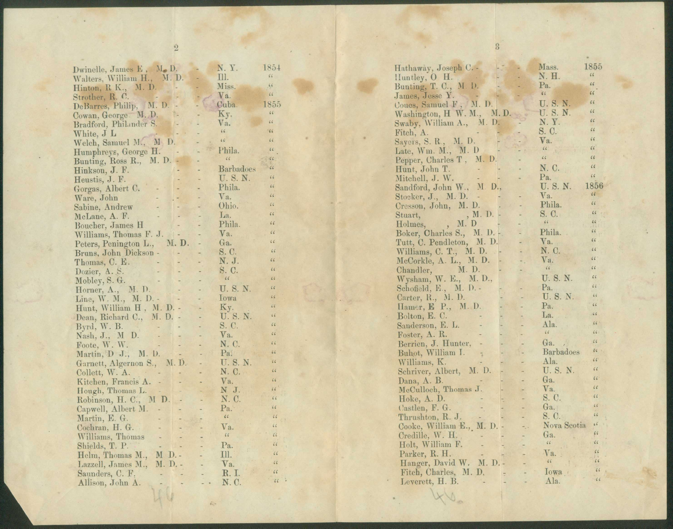| Dwinelle, James E, M. D.                            | N. Y.                              | 1854                        |
|-----------------------------------------------------|------------------------------------|-----------------------------|
| Walters, William H., M. D.                          | Ш.                                 | $\sqrt{6}$                  |
|                                                     | Miss.                              | 6.6                         |
| Hinton, R K., M. D.                                 | Va.                                | 66                          |
| Strother, R. C.<br>DeBarres, Philip, M. D.          |                                    |                             |
|                                                     | Cuba.                              | 1855                        |
| Cowan, George. M. D.                                | Ky.<br>÷                           | 66                          |
| Bradford, Philander S.                              | Va.<br>ä,                          | 66                          |
| White, J L                                          | 66                                 | $-11$                       |
| Welch, Samuel M., M D.                              | 66                                 | 66                          |
| Humphreys, George H.                                | Phila.                             | 66                          |
| Bunting, Ross R., M. D.                             | 66                                 | 766                         |
| $\left( -\right)$                                   | <b>Barbadoes</b><br>$\overline{a}$ | $-66$                       |
| Hinkson, J. F.<br>$\langle \cdot \rangle$           |                                    | 66                          |
| Heustis, J. F.                                      | U.S.N.<br>u                        | 66                          |
| Gorgas, Albert C.                                   | Phila.                             |                             |
| Ware, John<br>$\overline{\phantom{a}}$              | Va.<br>i.                          | 66                          |
| $\sim$<br>Sabine, Andrew                            | Ohio.                              | 66                          |
| McLane, A. F.<br>$\overline{\phantom{a}}$           | La.                                | 66                          |
| Boucher, James H                                    | Phila.                             | 66                          |
| Williams, Thomas F. J.<br>$-1$                      | Va.                                | 66                          |
| Peters, Penington L., M. D.                         | Ga.                                | 66                          |
| Bruns, John Dickson -                               | S. C.<br>÷.                        | 66                          |
|                                                     | N. J.                              | 66                          |
| Thomas, C. E.<br>Dozier, A. S.                      |                                    | 66                          |
| Dozier, A. S.<br>Mobley, S. G.<br>Horner, A., M. D. | S. C.<br>66                        | 66                          |
|                                                     |                                    | 66                          |
|                                                     | U.S.N.                             |                             |
| Line, W. M., M. D. -                                | lowa                               | 66                          |
| Hunt, William H, M. D. -                            | Ky.                                | $\zeta\zeta$                |
| Dean, Richard C., M. D. -                           | U.S.N.                             | 66                          |
| Byrd, W. B.<br>$-21$                                | S. C.                              | 66                          |
| Nash, J., M D.<br>$\rightarrow$<br>$\overline{a}$   | Va.                                | 66                          |
| Foote, W. W.                                        | N. C.                              | 66                          |
| Martin, D J., M. D.                                 | Pa.                                | 66                          |
| Garnett, Algernon S., M.D.                          | U.S.N.                             | 66                          |
| Collett, W. A.                                      | N. C.                              | 66                          |
|                                                     | Va.                                | $\zeta \cdot \zeta$         |
| Kitchen, Francis A. -                               | ٠                                  | $\overline{16}$             |
| Hough, Thomas L.                                    | NJ.                                | 66                          |
| Robinson, H. C., M D.                               | N. C.<br>÷                         |                             |
| Capwell, Albert M.                                  | Pa.                                | 66                          |
| Martin, E. G.                                       | 66                                 | 66                          |
| Cochran, H. G.                                      | Va.<br>÷                           | $\frac{1}{6}$ $\frac{1}{6}$ |
| Williams, Thomas<br>$\overline{\phantom{a}}$        | 66<br>۳                            | $\alpha$                    |
| Shields, T. P.                                      | Pa.                                | $\overline{66}$             |
| M D.-<br>Helm, Thomas M.,                           | Ш.                                 | 66                          |
| M. D. -<br>Lazzell, James M.,                       | Va.                                | $\epsilon$                  |
| Saunders, C. F.                                     | R. I.                              | $\epsilon$                  |
|                                                     | N. C.                              | $\overline{66}$             |
| Allison, John A.                                    |                                    |                             |
|                                                     |                                    |                             |
|                                                     |                                    |                             |

|                  | $1855\,$                                                                                                                                                                                                                                                                                                                                                                                                                                                                                                                                                                                                                                                                                                                                                                                                                                                |
|------------------|---------------------------------------------------------------------------------------------------------------------------------------------------------------------------------------------------------------------------------------------------------------------------------------------------------------------------------------------------------------------------------------------------------------------------------------------------------------------------------------------------------------------------------------------------------------------------------------------------------------------------------------------------------------------------------------------------------------------------------------------------------------------------------------------------------------------------------------------------------|
|                  | $\zeta\,\zeta$                                                                                                                                                                                                                                                                                                                                                                                                                                                                                                                                                                                                                                                                                                                                                                                                                                          |
|                  | 66                                                                                                                                                                                                                                                                                                                                                                                                                                                                                                                                                                                                                                                                                                                                                                                                                                                      |
|                  | $\epsilon$                                                                                                                                                                                                                                                                                                                                                                                                                                                                                                                                                                                                                                                                                                                                                                                                                                              |
|                  | 66                                                                                                                                                                                                                                                                                                                                                                                                                                                                                                                                                                                                                                                                                                                                                                                                                                                      |
|                  | 66                                                                                                                                                                                                                                                                                                                                                                                                                                                                                                                                                                                                                                                                                                                                                                                                                                                      |
|                  | 66                                                                                                                                                                                                                                                                                                                                                                                                                                                                                                                                                                                                                                                                                                                                                                                                                                                      |
|                  |                                                                                                                                                                                                                                                                                                                                                                                                                                                                                                                                                                                                                                                                                                                                                                                                                                                         |
|                  | 66                                                                                                                                                                                                                                                                                                                                                                                                                                                                                                                                                                                                                                                                                                                                                                                                                                                      |
|                  | 66                                                                                                                                                                                                                                                                                                                                                                                                                                                                                                                                                                                                                                                                                                                                                                                                                                                      |
|                  | 66                                                                                                                                                                                                                                                                                                                                                                                                                                                                                                                                                                                                                                                                                                                                                                                                                                                      |
|                  | 66                                                                                                                                                                                                                                                                                                                                                                                                                                                                                                                                                                                                                                                                                                                                                                                                                                                      |
| N. C.            | 66                                                                                                                                                                                                                                                                                                                                                                                                                                                                                                                                                                                                                                                                                                                                                                                                                                                      |
| Pa.              | 66                                                                                                                                                                                                                                                                                                                                                                                                                                                                                                                                                                                                                                                                                                                                                                                                                                                      |
|                  | 1856                                                                                                                                                                                                                                                                                                                                                                                                                                                                                                                                                                                                                                                                                                                                                                                                                                                    |
|                  | 66                                                                                                                                                                                                                                                                                                                                                                                                                                                                                                                                                                                                                                                                                                                                                                                                                                                      |
|                  | 66                                                                                                                                                                                                                                                                                                                                                                                                                                                                                                                                                                                                                                                                                                                                                                                                                                                      |
|                  | 66                                                                                                                                                                                                                                                                                                                                                                                                                                                                                                                                                                                                                                                                                                                                                                                                                                                      |
| 66               | 66                                                                                                                                                                                                                                                                                                                                                                                                                                                                                                                                                                                                                                                                                                                                                                                                                                                      |
|                  | 66                                                                                                                                                                                                                                                                                                                                                                                                                                                                                                                                                                                                                                                                                                                                                                                                                                                      |
|                  | 66                                                                                                                                                                                                                                                                                                                                                                                                                                                                                                                                                                                                                                                                                                                                                                                                                                                      |
|                  | 66                                                                                                                                                                                                                                                                                                                                                                                                                                                                                                                                                                                                                                                                                                                                                                                                                                                      |
|                  | 66                                                                                                                                                                                                                                                                                                                                                                                                                                                                                                                                                                                                                                                                                                                                                                                                                                                      |
|                  | $\zeta\,\zeta$                                                                                                                                                                                                                                                                                                                                                                                                                                                                                                                                                                                                                                                                                                                                                                                                                                          |
|                  | 66                                                                                                                                                                                                                                                                                                                                                                                                                                                                                                                                                                                                                                                                                                                                                                                                                                                      |
|                  | 66                                                                                                                                                                                                                                                                                                                                                                                                                                                                                                                                                                                                                                                                                                                                                                                                                                                      |
|                  |                                                                                                                                                                                                                                                                                                                                                                                                                                                                                                                                                                                                                                                                                                                                                                                                                                                         |
|                  | 66                                                                                                                                                                                                                                                                                                                                                                                                                                                                                                                                                                                                                                                                                                                                                                                                                                                      |
|                  | 66                                                                                                                                                                                                                                                                                                                                                                                                                                                                                                                                                                                                                                                                                                                                                                                                                                                      |
|                  | 66                                                                                                                                                                                                                                                                                                                                                                                                                                                                                                                                                                                                                                                                                                                                                                                                                                                      |
| a.               | 66                                                                                                                                                                                                                                                                                                                                                                                                                                                                                                                                                                                                                                                                                                                                                                                                                                                      |
| u,               | 66                                                                                                                                                                                                                                                                                                                                                                                                                                                                                                                                                                                                                                                                                                                                                                                                                                                      |
|                  | 66                                                                                                                                                                                                                                                                                                                                                                                                                                                                                                                                                                                                                                                                                                                                                                                                                                                      |
| <b>Barbadoes</b> | $\zeta$                                                                                                                                                                                                                                                                                                                                                                                                                                                                                                                                                                                                                                                                                                                                                                                                                                                 |
| Ala.             | 66                                                                                                                                                                                                                                                                                                                                                                                                                                                                                                                                                                                                                                                                                                                                                                                                                                                      |
|                  | 66                                                                                                                                                                                                                                                                                                                                                                                                                                                                                                                                                                                                                                                                                                                                                                                                                                                      |
|                  | 66                                                                                                                                                                                                                                                                                                                                                                                                                                                                                                                                                                                                                                                                                                                                                                                                                                                      |
|                  | 66                                                                                                                                                                                                                                                                                                                                                                                                                                                                                                                                                                                                                                                                                                                                                                                                                                                      |
|                  | 66                                                                                                                                                                                                                                                                                                                                                                                                                                                                                                                                                                                                                                                                                                                                                                                                                                                      |
|                  | $\sqrt{6}$                                                                                                                                                                                                                                                                                                                                                                                                                                                                                                                                                                                                                                                                                                                                                                                                                                              |
|                  | 66                                                                                                                                                                                                                                                                                                                                                                                                                                                                                                                                                                                                                                                                                                                                                                                                                                                      |
|                  | 66                                                                                                                                                                                                                                                                                                                                                                                                                                                                                                                                                                                                                                                                                                                                                                                                                                                      |
|                  | $\sqrt{6}$                                                                                                                                                                                                                                                                                                                                                                                                                                                                                                                                                                                                                                                                                                                                                                                                                                              |
|                  | 66                                                                                                                                                                                                                                                                                                                                                                                                                                                                                                                                                                                                                                                                                                                                                                                                                                                      |
|                  | 66                                                                                                                                                                                                                                                                                                                                                                                                                                                                                                                                                                                                                                                                                                                                                                                                                                                      |
|                  | 66                                                                                                                                                                                                                                                                                                                                                                                                                                                                                                                                                                                                                                                                                                                                                                                                                                                      |
|                  | $\overline{11}$                                                                                                                                                                                                                                                                                                                                                                                                                                                                                                                                                                                                                                                                                                                                                                                                                                         |
| L.               | 66                                                                                                                                                                                                                                                                                                                                                                                                                                                                                                                                                                                                                                                                                                                                                                                                                                                      |
|                  |                                                                                                                                                                                                                                                                                                                                                                                                                                                                                                                                                                                                                                                                                                                                                                                                                                                         |
|                  |                                                                                                                                                                                                                                                                                                                                                                                                                                                                                                                                                                                                                                                                                                                                                                                                                                                         |
|                  |                                                                                                                                                                                                                                                                                                                                                                                                                                                                                                                                                                                                                                                                                                                                                                                                                                                         |
|                  | Mass.<br>N. H.<br>Pa.<br>66<br>James, Jesse Y.<br>Coucs, Samuel F, M. D.<br>U.S.N.<br>U.S.N.<br>Washington, H W. M., M. D.<br>N.Y.<br>Swaby, William A., M. D.<br>S. C.<br>Va.<br>66<br>66<br>Pepper, Charles T, M. D.<br>$\frac{1}{2} \left( \frac{1}{2} \right) \left( \frac{1}{2} \right)$<br>U.S.N.<br>Sandford, John W., M. D.,<br>Va.<br>Phila.<br>S. C.<br>Stuart, M. D. -<br>Holmes, M. D. -<br>Phila.<br>Boker, Charles S., M. D.<br>Tutt, C. Pendleton, M. D.<br>Va.<br>N. C.<br>Williams, C. T., M. D.<br>Va.<br>66<br>U.S.N.<br>Pa.<br>U.S.N.<br>Pa.<br>La.<br>Ala.<br>66<br>Ga.,<br>U.S.N.<br>H<br>Ga.<br>L<br>Va.<br>S. C.<br>۳<br>Ga.<br>÷,<br>S. C.<br>Cooke, William E., M. D. -<br>Nova Scotia<br>Ga.<br>66<br>$\mathbb{R}$<br>Va.<br>$\left  \mathbf{e} \right $<br>Hanger, David W. M. D.-<br>Fitch, Charles, M. D.<br>lowa<br>Ala. |

 $\overline{\mathbf{3}}$ 

 $\mathbf{r}$ 

 $\ddot{2}$ 

 $\sim$